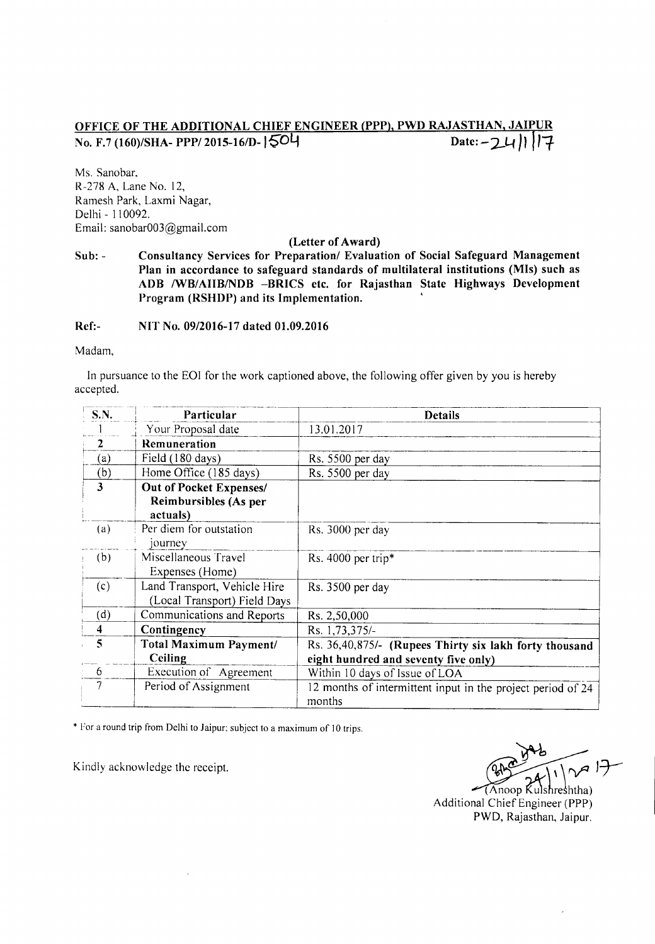## <u>OFFICE OF THE ADDITIONAL CHIEF ENGINEER (PPP), PWD RAJASTHAN, JAIPUI</u> No. F.7 (160)/SHA- PPP/ 2015-16/D-1504 Date:  $-24$  | 1 | 17

Ms. Sanobar, R-278 A, Lane No. 12, Ramesh Park, Laxmi Nagar, Delhi - 110092. Email: sanobar003@gmai1.com

## (Letter of Award)

 $Sub: -$ Consultancy Services for Preparation/ Evaluation of Social Safeguard Management Plan in accordance to safeguard standards of multilateral institutions (MIs) such as ADB IWB/AIIB/NDB -BRICS etc. for Rajasthan State Highways Development Program (RSHDP) and its Implementation.

Ref:- NIT No. 09/2016-17 dated 01.09.2016

Madam,

In pursuance to the EOI for the work captioned above, the following offer given by you is hereby accepted.

| <b>S.N.</b>             | Particular                     | <b>Details</b>                                              |
|-------------------------|--------------------------------|-------------------------------------------------------------|
|                         | Your Proposal date             | 13.01.2017                                                  |
| $\overline{2}$          | Remuneration                   |                                                             |
| (a)                     | Field (180 days)               | Rs. 5500 per day                                            |
| (b)                     | Home Office (185 days)         | Rs. 5500 per day                                            |
| $\overline{\mathbf{3}}$ | <b>Out of Pocket Expenses/</b> |                                                             |
|                         | Reimbursibles (As per          |                                                             |
|                         | actuals)                       |                                                             |
| (a)                     | Per diem for outstation        | Rs. 3000 per day                                            |
|                         | journey                        |                                                             |
| (b)                     | Miscellaneous Travel           | Rs. 4000 per trip*                                          |
|                         | Expenses (Home)                |                                                             |
| (c)                     | Land Transport, Vehicle Hire   | Rs. 3500 per day                                            |
|                         | (Local Transport) Field Days   |                                                             |
| (d)                     | Communications and Reports     | Rs. 2,50,000                                                |
| $\overline{\mathbf{4}}$ | Contingency                    | Rs. 1,73,375/-                                              |
| $\overline{\mathbf{5}}$ | Total Maximum Payment/         | Rs. 36,40,875/- (Rupees Thirty six lakh forty thousand      |
|                         | Ceiling                        | eight hundred and seventy five only)                        |
| - 6                     | Execution of Agreement         | Within 10 days of Issue of LOA                              |
|                         | Period of Assignment           | 12 months of intermittent input in the project period of 24 |
|                         |                                | months                                                      |

\* For a round trip from Delhi to Jaipur: subject to a maximum of 10 trips.

Kindly acknowledge the receipt.  $\sqrt{24}$ 

noop Kulshreshtha) Additional Chief Engineer (PPP) PWD, Rajasthan, Jaipur.